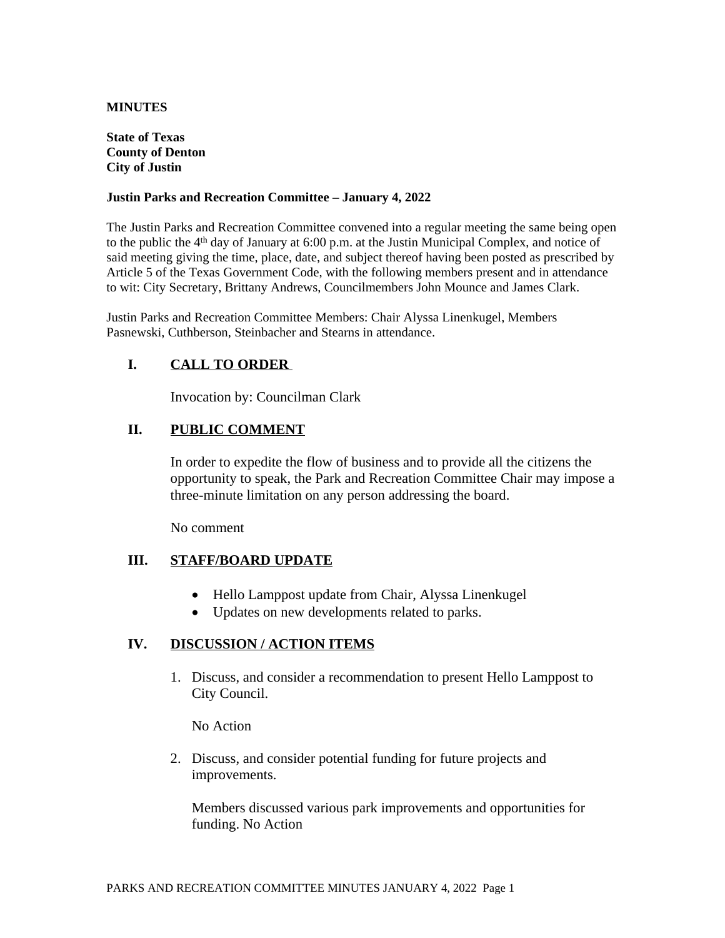### **MINUTES**

#### **State of Texas County of Denton City of Justin**

#### **Justin Parks and Recreation Committee – January 4, 2022**

The Justin Parks and Recreation Committee convened into a regular meeting the same being open to the public the 4<sup>th</sup> day of January at 6:00 p.m. at the Justin Municipal Complex, and notice of said meeting giving the time, place, date, and subject thereof having been posted as prescribed by Article 5 of the Texas Government Code, with the following members present and in attendance to wit: City Secretary, Brittany Andrews, Councilmembers John Mounce and James Clark.

Justin Parks and Recreation Committee Members: Chair Alyssa Linenkugel, Members Pasnewski, Cuthberson, Steinbacher and Stearns in attendance.

## **I. CALL TO ORDER**

Invocation by: Councilman Clark

## **II. PUBLIC COMMENT**

In order to expedite the flow of business and to provide all the citizens the opportunity to speak, the Park and Recreation Committee Chair may impose a three-minute limitation on any person addressing the board.

No comment

### **III. STAFF/BOARD UPDATE**

- Hello Lamppost update from Chair, Alyssa Linenkugel
- Updates on new developments related to parks.

### **IV. DISCUSSION / ACTION ITEMS**

1. Discuss, and consider a recommendation to present Hello Lamppost to City Council.

No Action

2. Discuss, and consider potential funding for future projects and improvements.

Members discussed various park improvements and opportunities for funding. No Action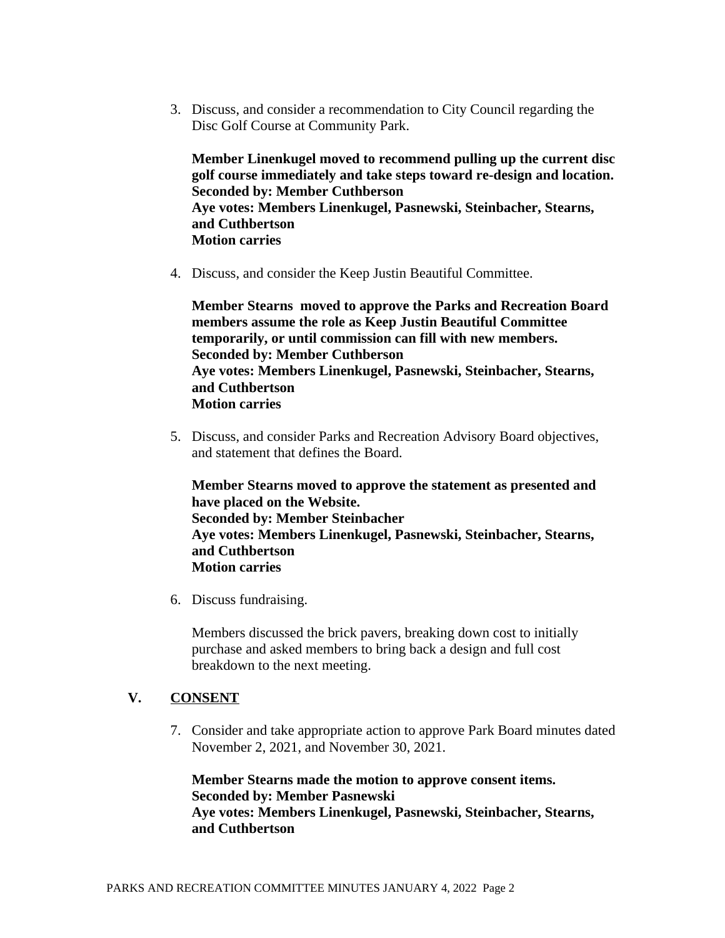3. Discuss, and consider a recommendation to City Council regarding the Disc Golf Course at Community Park.

**Member Linenkugel moved to recommend pulling up the current disc golf course immediately and take steps toward re-design and location. Seconded by: Member Cuthberson Aye votes: Members Linenkugel, Pasnewski, Steinbacher, Stearns, and Cuthbertson Motion carries**

4. Discuss, and consider the Keep Justin Beautiful Committee.

**Member Stearns moved to approve the Parks and Recreation Board members assume the role as Keep Justin Beautiful Committee temporarily, or until commission can fill with new members. Seconded by: Member Cuthberson Aye votes: Members Linenkugel, Pasnewski, Steinbacher, Stearns, and Cuthbertson Motion carries**

5. Discuss, and consider Parks and Recreation Advisory Board objectives, and statement that defines the Board.

**Member Stearns moved to approve the statement as presented and have placed on the Website. Seconded by: Member Steinbacher Aye votes: Members Linenkugel, Pasnewski, Steinbacher, Stearns, and Cuthbertson Motion carries**

6. Discuss fundraising.

Members discussed the brick pavers, breaking down cost to initially purchase and asked members to bring back a design and full cost breakdown to the next meeting.

## **V. CONSENT**

7. Consider and take appropriate action to approve Park Board minutes dated November 2, 2021, and November 30, 2021.

**Member Stearns made the motion to approve consent items. Seconded by: Member Pasnewski Aye votes: Members Linenkugel, Pasnewski, Steinbacher, Stearns, and Cuthbertson**